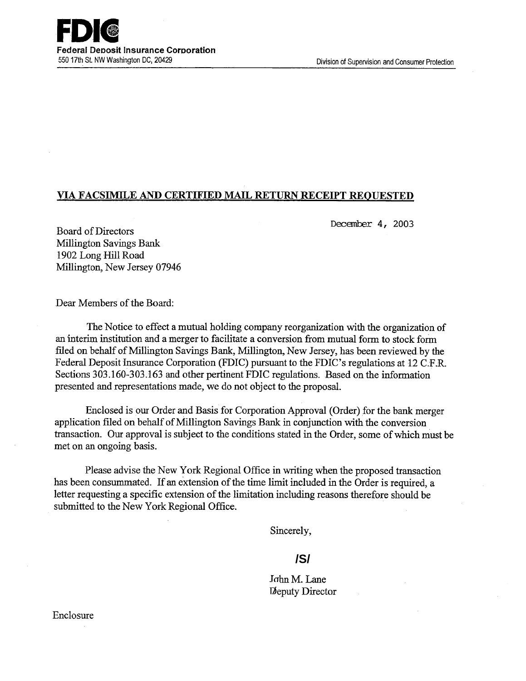

## **VIA FACSIMILE AND CERTIFIED MAIL RETURN RECEIPT REQUESTED**

December 4, 2003

Board of Directors Millington Savings Bank 1902 Long Hill Road Millington, New Jersey 07946

Dear Members of the Board:

The Notice to effect a mutual holding company reorganization with the organization of an Interim institution and a merger to facilitate a conversion from mutual form to stock form filed on behalf of Millington Savings Bank, Millington, New Jersey, has been reviewed by the Federal Deposit Insurance Corporation (FDIC) pursuant to the FDIC's regulations at 12 C.F.R. Sections 303.160-303.163 and other pertinent FDIC regulations. Based on the information presented and representations made, we do not object to the proposal. -

Enclosed is our Order and Basis for Corporation Approval (Order) for the bank merger application filed on behalf of Millington Savings Bank in conjunction with the conversion transaction. Our approval is subject to the conditions stated in the Order, some of which must be met on an ongoing basis.

Please advise the New York Regional Office in writing when the proposed transaction has been consummated. If an extension of the time limit included in the Order is required, a letter requesting a specific extension of the limitation including reasons therefore should be submitted to the New York Regional Office.

Sincerely,

# **/S/**

John M. Lane Deputy Director

Enclosure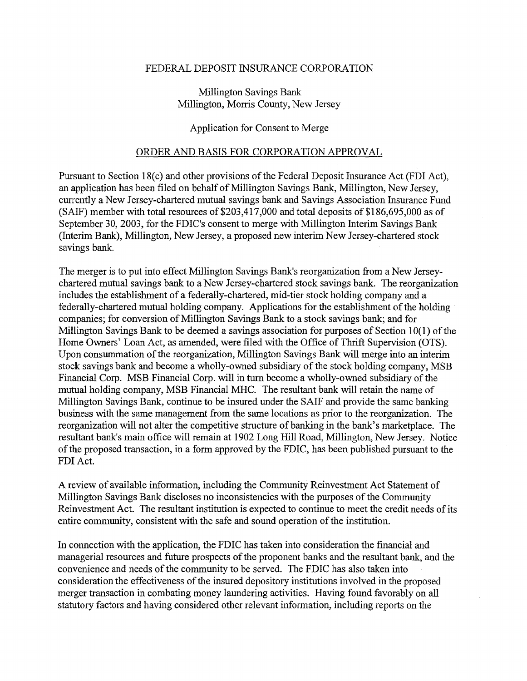#### FEDERAL DEPOSIT INSURANCE CORPORATION

## Millington Savings Bank Millington, Morris County, New Jersey

#### Application for Consent to Merge

### ORDER AND BASIS FOR CORPORATION APPROVAL

Pursuant to Section 18(c) and other provisions of the Federal Deposit Insurance Act (FDI Act), an application has been filed on behalf of Millington Savings Bank, Millington, New Jersey, currently a New Jersey-chartered mutual savings bank and Savings Association Insurance Fund (SAIF) member with total resources of  $$203,417,000$  and total deposits of  $$186,695,000$  as of September 30, 2003, for the FDIC's consent to merge with Millington Interim Savings Bank (Interim Bank), Millington, New Jersey, a proposed new interim New Jersey-chartered stock savings bank.

The merger is to put into effect Millington Savings Bank's reorganization from a New Jerseychartered mutual savings bank to a New Jersey-chartered stock savings bank. The reorganization includes the establishment of a federally-chartered, mid-tier stock holding company and a federally-chartered mutual holding company. Applications for the establishment of the holding companies; for conversion of Millington Savings Bank to a stock savings bank; and for Millington Savings Bank to be deemed a savings association for purposes of Section  $10(1)$  of the Home Owners' Loan Act, as amended, were filed with the Office of Thrift Supervision (OTS). Upon consummation of the reorganization, Millington Savings Bank will merge into an interim stock savings bank and become a wholly-owned subsidiary of the stock holding company, MSB Financial Corp. MSB Financial Corp. will in turn become a wholly-owned subsidiary of the mutual holding company, MSB Financial MHC. The resultant bank will retain the name of Millington Savings Bank, continue to be insured under the SAIF and provide the same banking business with the same management from the same locations as prior to the reorganization. The reorganization will not alter the competitive structure of banking in the bank's marketplace. The resultant bank's main office will remain at 1902 Long Hill Road, Millington, New Jersey. Notice of the proposed transaction, in a form approved by the FDIC, has been published pursuant to the FDI Act.

A review of available information, including the Community Reinvestment Act Statement of Millington Savings Bank discloses no inconsistencies with the purposes of the Community Reinvestment Act. The resultant institution is expected to continue to meet the credit needs of its entire community, consistent with the safe and sound operation of the institution.

In connection with the application, the FDIC has taken into consideration the financial and managerial resources and future prospects of the proponent banks and the resultant bank, and the convenience and needs of the community to be served. The FDIC has also taken into consideration the effectiveness of the insured depository institutions involved in the proposed merger transaction in combating money laundering activities. Having found favorably on all statutory factors and having considered other relevant information, including reports on the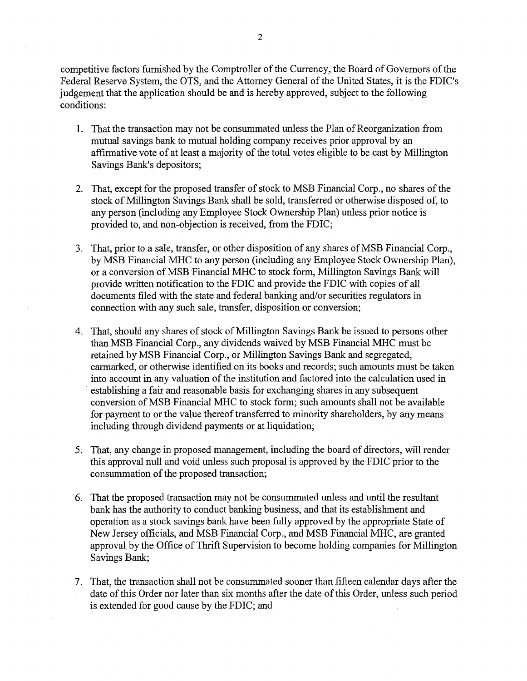competitive factors furnished by the Comptroller of the Currency, the Board of Governors of the Federal Reserve System, the OTS, and the Attorney General of the United States, it is the FDIC's judgement that the application should be and is hereby approved, subject to the following conditions:

- 1. That the transaction may not be consummated unless the Plan of Reorganization from mutual savings bank to mutual holding company receives prior approval by an affirmative vote of at least a majority of the total votes eligible to be cast by Millington Savings Bank's depositors;
- 2. That, except for the proposed transfer of stock to MSB Financial Corp., no shares of the stock of Millington Savings Bank shall be sold, transferred or otherwise disposed of, to any person (including any Employee Stock Ownership Plan) unless prior notice is provided to, and non-objection is received, from the FDIC;
- 3. That, prior to a sale, transfer, or other disposition of any shares of MSB Financial Corp., by MSB Financial MHC to any person (including any Employee Stock Ownership Plan), or a conversion of MSB Financial MHC to stock form, Millington Savings Bank will provide written notification to the FDIC and provide the FDIC with copies of all documents filed with the state and federal banking and/or securities regulators in connection with any such sale, transfer, disposition or conversion;
- 4. That, should any shares of stock of Millington Savings Bank be issued to persons other than MSB Financial Corp., any dividends waived by MSB Financial MHC must be retained by MSB Financial Corp., or Millington Savings Bank and segregated, earmarked, or otherwise identified on its books and records; such amounts must be taken into account in any valuation of the institution and factored into the calculation used in establishing a fair and reasonable basis for exchanging shares in any subsequent conversion of MSB Financial MHC to stock form; such amounts shall not be available for payment to or the value thereof transferred to minority shareholders, by any means including through dividend payments or at liquidation;
- 5. That, any change in proposed management, including the board of directors, will render this approval null and void unless such proposal is approved by the FDIC prior to the consummation of the proposed transaction;
- 6. That the proposed transaction may not be consummated unless and until the resultant bank has the authority to conduct banking business, and that its establishment and operation as a stock savings bank have been fully approved by the appropriate State of New Jersey officials, and MSB Financial Corp., and MSB Financial MHC, are granted approval by the Office of Thrift Supervision to become holding companies for Millington Savings Bank;
- 7. That, the transaction shall not be consummated sooner than fifteen calendar days after the date of this Order nor later than six months after the date of this Order, unless such period is extended for good cause by the FDIC; and